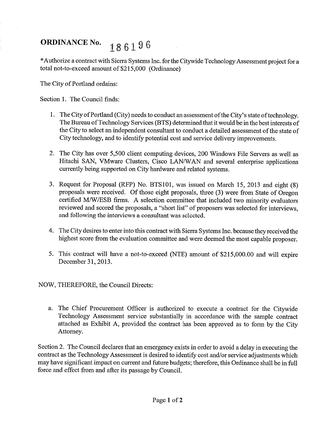## ORDINANCE No.  $186196$

\*Authorize a contract with Sierra Systems Inc. for the Citywide Technology Assessment project for a total not-to-exceed amount of \$215,000 (Ordinance)

The City of Portland ordains:

Section 1. The Council finds:

- 1. The City of Portland (City) needs to conduct an assessment of the City's state of technology. The Bureau of Technology Services (BTS) determined that it would be in the best interests of the City to select an independent consultant to conduct a detailed assessment of the state of City technology, and to identify potential cost and service delivery improvements.
- 2. The City has over 5,500 client computing devices, 200 Windows File Servers as well as Hitachi SAN, VMware Clusters, Cisco LAN/WAN and several enterprise applications currently being supported on City hardware and related systems.
- 3. Request for Proposal (RFP) No. BTS101, was issued on March 15, 2013 and eight (8) proposals were received. Of those eight proposals, three (3) were from State of Oregon certified M/VV/ESB firms. A selection committee that included two minority evaluators reviewed and scored the proposals, a "short list" of proposers was selected for interviews, and following the interviews a consultant was selected.
- 4. The City desires to enter into this contract with Sierra Systems Inc. because they received the highest score from the evaluation committee and were deemed the most capable proposer.
- 5. This contract will have a not-to-exceed (NTE) amount of \$215,000.00 and will expire December 31,2013.

NOW, THEREFORE, the Council Directs:

a. The Chief Procurement Officer is authorized to execute a contract for the Citywide Technology Assessment service substantially in accordance with the sample contract attached as Exhibit A, provided the contract has been approved as to form by the City Attomey.

Section 2. The Council declares that an emergency exists in order to avoid a delay in executing the contract as the Technology Assessment is desired to identify cost and/or service adjustments which may have significant impact on current and future budgets; therefore, this Ordinance shall be in full force and effect from and after its passage by Council.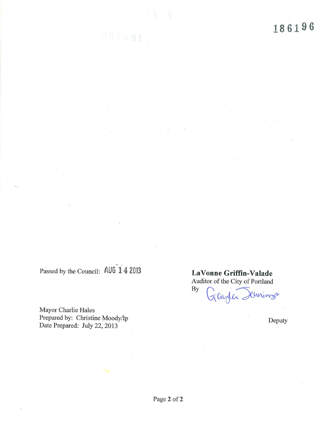L86196

Passed by the Council: AUG 14 2013 LaVonne Griffin-Valade

 $001081$ 

Mayor Charlie Hales<br>Prepared by: Christine Moody/lp Prepared by: Christine Moody/lp Deputy Deputy Deputy Deputy Deputy Deputy

Auditor of the City of Portland By Chrings Taylore